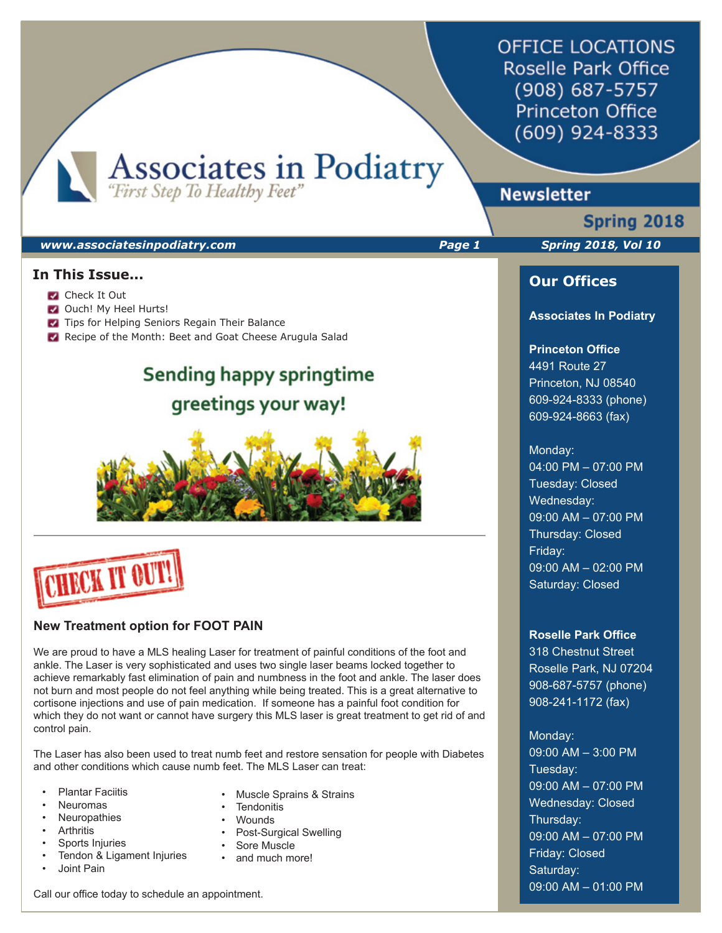**OFFICE LOCATIONS** Roselle Park Office (908) 687-5757 **Princeton Office** (609) 924-8333

Associates in Podiatry

# **Newsletter**

# **Spring 2018**

### *www.associatesinpodiatry.com Page 1 Spring 2018, Vol 10*

### **In This Issue...**

- **Check It Out**
- **Ouch! My Heel Hurts!**
- **Tips for Helping Seniors Regain Their Balance**
- Recipe of the Month: Beet and Goat Cheese Arugula Salad

# Sending happy springtime greetings your way!





### **New Treatment option for FOOT PAIN**

We are proud to have a MLS healing Laser for treatment of painful conditions of the foot and ankle. The Laser is very sophisticated and uses two single laser beams locked together to achieve remarkably fast elimination of pain and numbness in the foot and ankle. The laser does not burn and most people do not feel anything while being treated. This is a great alternative to cortisone injections and use of pain medication. If someone has a painful foot condition for which they do not want or cannot have surgery this MLS laser is great treatment to get rid of and control pain.

The Laser has also been used to treat numb feet and restore sensation for people with Diabetes and other conditions which cause numb feet. The MLS Laser can treat:

- Plantar Faciitis
- Neuromas
- **Neuropathies**
- **Arthritis**
- Sports Injuries
- Tendon & Ligament Injuries • Joint Pain
- Muscle Sprains & Strains
- **Tendonitis**
- Wounds
- Post-Surgical Swelling
- Sore Muscle
- and much more!

Call our office today to schedule an appointment.

### **Our Offices**

### **Associates In Podiatry**

### **Princeton Office**

4491 Route 27 Princeton, NJ 08540 609-924-8333 (phone) 609-924-8663 (fax)

### Monday:

04:00 PM – 07:00 PM Tuesday: Closed Wednesday: 09:00 AM – 07:00 PM Thursday: Closed Friday: 09:00 AM – 02:00 PM Saturday: Closed

### **Roselle Park Office**

318 Chestnut Street Roselle Park, NJ 07204 908-687-5757 (phone) 908-241-1172 (fax)

### Monday:

09:00 AM – 3:00 PM Tuesday: 09:00 AM – 07:00 PM Wednesday: Closed Thursday: 09:00 AM – 07:00 PM Friday: Closed Saturday: 09:00 AM – 01:00 PM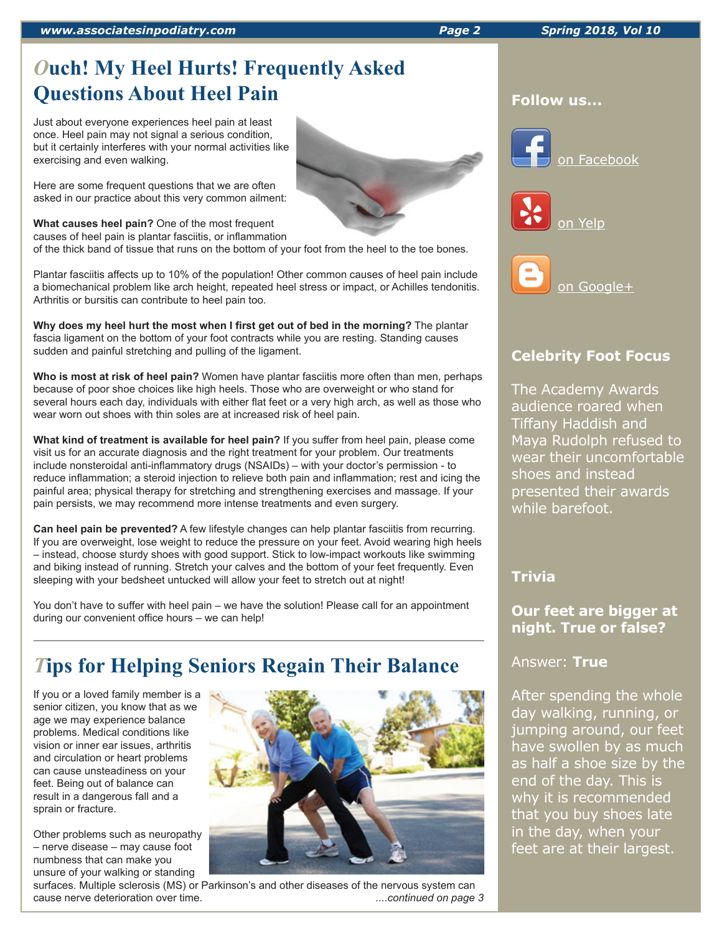*www.associatesinpodiatry.com Page 2 Spring 2018, Vol 10*

# *O***uch! My Heel Hurts! Frequently Asked Questions About Heel Pain**

Just about everyone experiences heel pain at least once. Heel pain may not signal a serious condition, but it certainly interferes with your normal activities like exercising and even walking.

Here are some frequent questions that we are often asked in our practice about this very common ailment:

**What causes heel pain?** One of the most frequent causes of heel pain is plantar fasciitis, or inflammation

of the thick band of tissue that runs on the bottom of your foot from the heel to the toe bones.

Plantar fasciitis affects up to 10% of the population! Other common causes of heel pain include a biomechanical problem like arch height, repeated heel stress or impact, or Achilles tendonitis. Arthritis or bursitis can contribute to heel pain too.

**Why does my heel hurt the most when I first get out of bed in the morning?** The plantar fascia ligament on the bottom of your foot contracts while you are resting. Standing causes sudden and painful stretching and pulling of the ligament.

**Who is most at risk of heel pain?** Women have plantar fasciitis more often than men, perhaps because of poor shoe choices like high heels. Those who are overweight or who stand for several hours each day, individuals with either flat feet or a very high arch, as well as those who wear worn out shoes with thin soles are at increased risk of heel pain.

**What kind of treatment is available for heel pain?** If you suffer from heel pain, please come visit us for an accurate diagnosis and the right treatment for your problem. Our treatments include nonsteroidal anti-inflammatory drugs (NSAIDs) – with your doctor's permission - to reduce inflammation; a steroid injection to relieve both pain and inflammation; rest and icing the painful area; physical therapy for stretching and strengthening exercises and massage. If your pain persists, we may recommend more intense treatments and even surgery.

**Can heel pain be prevented?** A few lifestyle changes can help plantar fasciitis from recurring. If you are overweight, lose weight to reduce the pressure on your feet. Avoid wearing high heels – instead, choose sturdy shoes with good support. Stick to low-impact workouts like swimming and biking instead of running. Stretch your calves and the bottom of your feet frequently. Even sleeping with your bedsheet untucked will allow your feet to stretch out at night!

You don't have to suffer with heel pain – we have the solution! Please call for an appointment during our convenient office hours – we can help!

# *T***ips for Helping Seniors Regain Their Balance**

If you or a loved family member is a senior citizen, you know that as we age we may experience balance problems. Medical conditions like vision or inner ear issues, arthritis and circulation or heart problems can cause unsteadiness on your feet. Being out of balance can result in a dangerous fall and a sprain or fracture.

Other problems such as neuropathy – nerve disease – may cause foot numbness that can make you unsure of your walking or standing











# **Celebrity Foot Focus**

The Academy Awards audience roared when Tiffany Haddish and Maya Rudolph refused to wear their uncomfortable shoes and instead presented their awards while barefoot.

## **Trivia**

# **Our feet are bigger at night. True or false?**

Answer: **True** 

After spending the whole day walking, running, or jumping around, our feet have swollen by as much as half a shoe size by the end of the day. This is why it is recommended that you buy shoes late in the day, when your feet are at their largest.

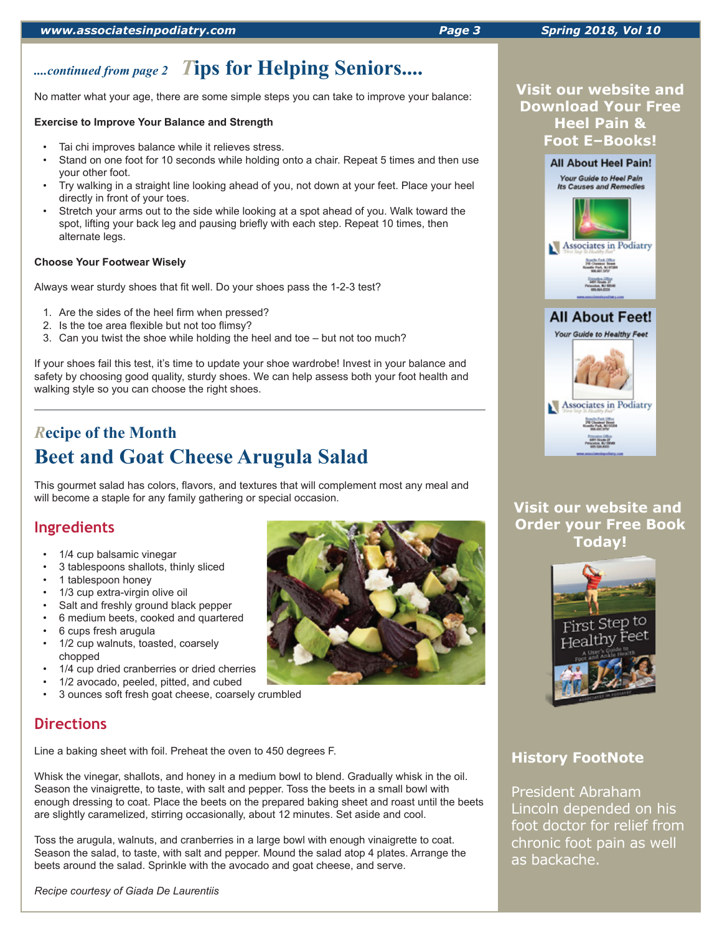# *....continued from page 2 T***ips for Helping Seniors....**

No matter what your age, there are some simple steps you can take to improve your balance:

### **Exercise to Improve Your Balance and Strength**

- Tai chi improves balance while it relieves stress.
- Stand on one foot for 10 seconds while holding onto a chair. Repeat 5 times and then use your other foot.
- Try walking in a straight line looking ahead of you, not down at your feet. Place your heel directly in front of your toes.
- Stretch your arms out to the side while looking at a spot ahead of you. Walk toward the spot, lifting your back leg and pausing briefly with each step. Repeat 10 times, then alternate legs.

### **Choose Your Footwear Wisely**

Always wear sturdy shoes that fit well. Do your shoes pass the 1-2-3 test?

- 1. Are the sides of the heel firm when pressed?
- 2. Is the toe area flexible but not too flimsy?
- 3. Can you twist the shoe while holding the heel and toe but not too much?

If your shoes fail this test, it's time to update your shoe wardrobe! Invest in your balance and safety by choosing good quality, sturdy shoes. We can help assess both your foot health and walking style so you can choose the right shoes.

# *R***ecipe of the Month Beet and Goat Cheese Arugula Salad**

This gourmet salad has colors, flavors, and textures that will complement most any meal and will become a staple for any family gathering or special occasion.

# **Ingredients**

- 1/4 cup balsamic vinegar
- 3 tablespoons shallots, thinly sliced
- 1 tablespoon honey
- 1/3 cup extra-virgin olive oil
- Salt and freshly ground black pepper
- 6 medium beets, cooked and quartered
- 6 cups fresh arugula
- 1/2 cup walnuts, toasted, coarsely chopped
- 1/4 cup dried cranberries or dried cherries
- 1/2 avocado, peeled, pitted, and cubed
- 3 ounces soft fresh goat cheese, coarsely crumbled

# **Directions**

Line a baking sheet with foil. Preheat the oven to 450 degrees F.

Whisk the vinegar, shallots, and honey in a medium bowl to blend. Gradually whisk in the oil. Season the vinaigrette, to taste, with salt and pepper. Toss the beets in a small bowl with enough dressing to coat. Place the beets on the prepared baking sheet and roast until the beets are slightly caramelized, stirring occasionally, about 12 minutes. Set aside and cool.

Toss the arugula, walnuts, and cranberries in a large bowl with enough vinaigrette to coat. Season the salad, to taste, with salt and pepper. Mound the salad atop 4 plates. Arrange the beets around the salad. Sprinkle with the avocado and goat cheese, and serve.

*Recipe courtesy of Giada De Laurentiis*





# **History FootNote**

President Abraham Lincoln depended on his foot doctor for relief from chronic foot pain as well as backache.



**All About Heel Pain! Your Guide to Heel Pain**<br>Its Causes and Remedies





Associates in Podiatry